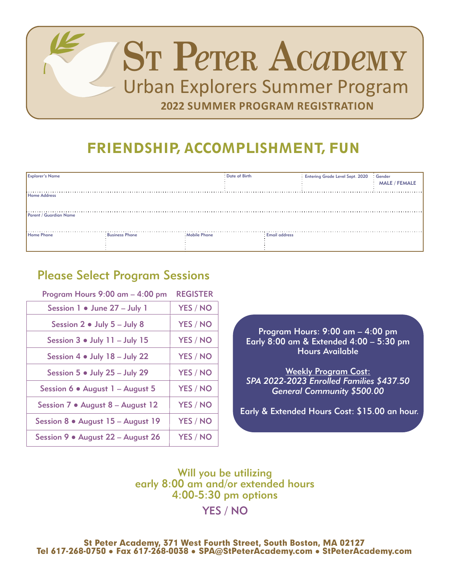

## FRIENDSHIP, ACCOMPLISHMENT, FUN

| <b>Explorer's Name</b> |                       |                     | : Date of Birth      | Entering Grade Level Sept. 2020 : Gender | : MALE / FEMALE |
|------------------------|-----------------------|---------------------|----------------------|------------------------------------------|-----------------|
| Home Address           |                       |                     |                      |                                          |                 |
| Parent / Guardian Name |                       |                     |                      |                                          |                 |
| .<br>Home Phone        | <b>Business Phone</b> | <b>Mobile Phone</b> | <b>Email address</b> |                                          |                 |

## Please Select Program Sessions

Program Hours 9:00 am – 4:00 pm Session 1 ● June 27 – July 1 Session 2 ● July 5 – July 8 Session 3 ● July 11 – July 15 Session 4 ● July 18 – July 22 Session 5 ● July 25 – July 29 Session 6 ● August 1 – August 5 Session 7 ● August 8 – August 12 Session 8 ● August 15 – August 19 Session 9 ● August 22 – August 26 YES / NO YES / NO YES / NO YES / NO YES / NO YES / NO YES / NO YES / NO YES / NO REGISTER

Program Hours: 9:00 am – 4:00 pm Early 8:00 am & Extended 4:00 – 5:30 pm Hours Available

Weekly Program Cost: *SPA 2022-2023 Enrolled Families \$437.50 General Community \$500.00*

Early & Extended Hours Cost: \$15.00 an hour.

Will you be utilizing early 8:00 am and/or extended hours 4:00-5:30 pm options

YES / NO